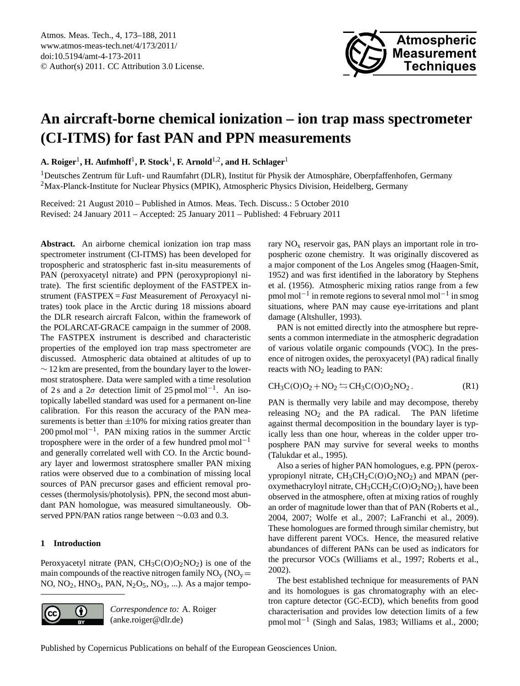

# <span id="page-0-0"></span>**An aircraft-borne chemical ionization – ion trap mass spectrometer (CI-ITMS) for fast PAN and PPN measurements**

 $\mathbf{A.~Roiger}^{1}, \mathbf{H.~Aufmhoff}^{1}, \mathbf{P.~Stock}^{1}, \mathbf{F.~Arnold}^{1,2}, \mathbf{and~H.~Schlager}^{1}$ 

<sup>1</sup>Deutsches Zentrum für Luft- und Raumfahrt (DLR), Institut für Physik der Atmosphäre, Oberpfaffenhofen, Germany <sup>2</sup>Max-Planck-Institute for Nuclear Physics (MPIK), Atmospheric Physics Division, Heidelberg, Germany

Received: 21 August 2010 – Published in Atmos. Meas. Tech. Discuss.: 5 October 2010 Revised: 24 January 2011 – Accepted: 25 January 2011 – Published: 4 February 2011

**Abstract.** An airborne chemical ionization ion trap mass spectrometer instrument (CI-ITMS) has been developed for tropospheric and stratospheric fast in-situ measurements of PAN (peroxyacetyl nitrate) and PPN (peroxypropionyl nitrate). The first scientific deployment of the FASTPEX instrument (FASTPEX = *Fast* Measurement of *Pe*ro*x*yacyl nitrates) took place in the Arctic during 18 missions aboard the DLR research aircraft Falcon, within the framework of the POLARCAT-GRACE campaign in the summer of 2008. The FASTPEX instrument is described and characteristic properties of the employed ion trap mass spectrometer are discussed. Atmospheric data obtained at altitudes of up to  $\sim$  12 km are presented, from the boundary layer to the lowermost stratosphere. Data were sampled with a time resolution of 2s and a  $2\sigma$  detection limit of 25 pmol mol<sup>-1</sup>. An isotopically labelled standard was used for a permanent on-line calibration. For this reason the accuracy of the PAN measurements is better than  $\pm 10\%$  for mixing ratios greater than 200 pmol mol−<sup>1</sup> . PAN mixing ratios in the summer Arctic troposphere were in the order of a few hundred pmol mol<sup>-1</sup> and generally correlated well with CO. In the Arctic boundary layer and lowermost stratosphere smaller PAN mixing ratios were observed due to a combination of missing local sources of PAN precursor gases and efficient removal processes (thermolysis/photolysis). PPN, the second most abundant PAN homologue, was measured simultaneously. Observed PPN/PAN ratios range between ∼0.03 and 0.3.

# **1 Introduction**

Peroxyacetyl nitrate (PAN,  $CH_3C(O)O_2NO_2$ ) is one of the main compounds of the reactive nitrogen family  $NO_v (NO_v=$ NO,  $NO<sub>2</sub>$ ,  $HNO<sub>3</sub>$ ,  $PAN$ ,  $N<sub>2</sub>O<sub>5</sub>$ ,  $NO<sub>3</sub>$ , ...). As a major tempo-



*Correspondence to:* A. Roiger (anke.roiger@dlr.de)

rary  $NO<sub>x</sub>$  reservoir gas, PAN plays an important role in tropospheric ozone chemistry. It was originally discovered as a major component of the Los Angeles smog [\(Haagen-Smit,](#page-14-0) [1952\)](#page-14-0) and was first identified in the laboratory by [Stephens](#page-15-0) [et al. \(1956\)](#page-15-0). Atmospheric mixing ratios range from a few pmol mol<sup>-1</sup> in remote regions to several nmol mol<sup>-1</sup> in smog situations, where PAN may cause eye-irritations and plant damage [\(Altshuller, 1993\)](#page-13-0).

PAN is not emitted directly into the atmosphere but represents a common intermediate in the atmospheric degradation of various volatile organic compounds (VOC). In the presence of nitrogen oxides, the peroxyacetyl (PA) radical finally reacts with  $NO<sub>2</sub>$  leading to PAN:

$$
CH_3C(O)O_2 + NO_2 \leftrightarrows CH_3C(O)O_2NO_2.
$$
 (R1)

PAN is thermally very labile and may decompose, thereby releasing  $NO<sub>2</sub>$  and the PA radical. The PAN lifetime against thermal decomposition in the boundary layer is typically less than one hour, whereas in the colder upper troposphere PAN may survive for several weeks to months [\(Talukdar et al., 1995\)](#page-15-1).

Also a series of higher PAN homologues, e.g. PPN (peroxypropionyl nitrate,  $CH_3CH_2C(O)O_2NO_2$ ) and MPAN (peroxymethacryloyl nitrate,  $CH<sub>3</sub>CCH<sub>2</sub>C(O)O<sub>2</sub>NO<sub>2</sub>$ ), have been observed in the atmosphere, often at mixing ratios of roughly an order of magnitude lower than that of PAN [\(Roberts et al.,](#page-15-2) [2004,](#page-15-2) [2007;](#page-15-3) [Wolfe et al., 2007;](#page-15-4) [LaFranchi et al., 2009\)](#page-14-1). These homologues are formed through similar chemistry, but have different parent VOCs. Hence, the measured relative abundances of different PANs can be used as indicators for the precursor VOCs [\(Williams et al., 1997;](#page-15-5) [Roberts et al.,](#page-14-2) [2002\)](#page-14-2).

The best established technique for measurements of PAN and its homologues is gas chromatography with an electron capture detector (GC-ECD), which benefits from good characterisation and provides low detection limits of a few pmol mol−<sup>1</sup> [\(Singh and Salas, 1983;](#page-15-6) [Williams et al., 2000;](#page-15-7)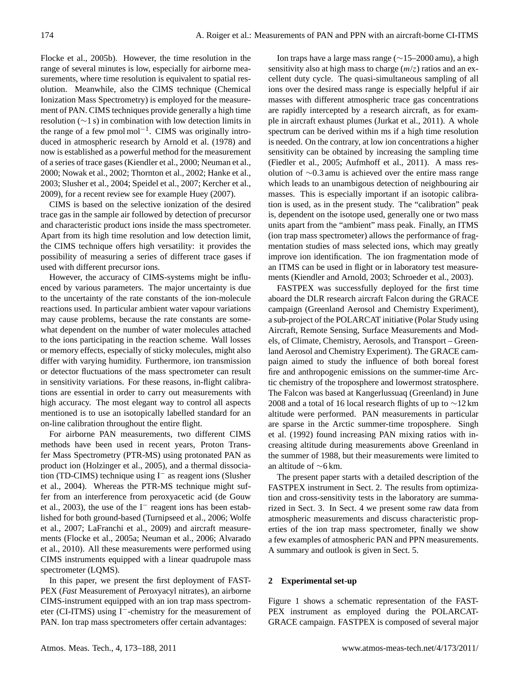[Flocke et al., 2005b\)](#page-14-3). However, the time resolution in the range of several minutes is low, especially for airborne measurements, where time resolution is equivalent to spatial resolution. Meanwhile, also the CIMS technique (Chemical Ionization Mass Spectrometry) is employed for the measurement of PAN. CIMS techniques provide generally a high time resolution (∼1 s) in combination with low detection limits in the range of a few pmol mol−<sup>1</sup> . CIMS was originally introduced in atmospheric research by [Arnold et al. \(1978\)](#page-13-1) and now is established as a powerful method for the measurement of a series of trace gases [\(Kiendler et al., 2000;](#page-14-4) [Neuman et al.,](#page-14-5) [2000;](#page-14-5) [Nowak et al., 2002;](#page-14-6) [Thornton et al., 2002;](#page-15-8) [Hanke et al.,](#page-14-7) [2003;](#page-14-7) [Slusher et al., 2004;](#page-15-9) [Speidel et al., 2007;](#page-15-10) [Kercher et al.,](#page-14-8) [2009\)](#page-14-8), for a recent review see for example [Huey \(2007\)](#page-14-9).

CIMS is based on the selective ionization of the desired trace gas in the sample air followed by detection of precursor and characteristic product ions inside the mass spectrometer. Apart from its high time resolution and low detection limit, the CIMS technique offers high versatility: it provides the possibility of measuring a series of different trace gases if used with different precursor ions.

However, the accuracy of CIMS-systems might be influenced by various parameters. The major uncertainty is due to the uncertainty of the rate constants of the ion-molecule reactions used. In particular ambient water vapour variations may cause problems, because the rate constants are somewhat dependent on the number of water molecules attached to the ions participating in the reaction scheme. Wall losses or memory effects, especially of sticky molecules, might also differ with varying humidity. Furthermore, ion transmission or detector fluctuations of the mass spectrometer can result in sensitivity variations. For these reasons, in-flight calibrations are essential in order to carry out measurements with high accuracy. The most elegant way to control all aspects mentioned is to use an isotopically labelled standard for an on-line calibration throughout the entire flight.

For airborne PAN measurements, two different CIMS methods have been used in recent years, Proton Transfer Mass Spectrometry (PTR-MS) using protonated PAN as product ion [\(Holzinger et al., 2005\)](#page-14-10), and a thermal dissociation (TD-CIMS) technique using I<sup>−</sup> as reagent ions [\(Slusher](#page-15-9) [et al., 2004\)](#page-15-9). Whereas the PTR-MS technique might suffer from an interference from peroxyacetic acid [\(de Gouw](#page-13-2) [et al., 2003\)](#page-13-2), the use of the I<sup>−</sup> reagent ions has been established for both ground-based [\(Turnipseed et al., 2006;](#page-15-11) [Wolfe](#page-15-4) [et al., 2007;](#page-15-4) [LaFranchi et al., 2009\)](#page-14-1) and aircraft measurements [\(Flocke et al., 2005a;](#page-14-11) [Neuman et al., 2006;](#page-14-12) [Alvarado](#page-13-3) [et al., 2010\)](#page-13-3). All these measurements were performed using CIMS instruments equipped with a linear quadrupole mass spectrometer (LQMS).

In this paper, we present the first deployment of FAST-PEX (*Fast* Measurement of *Pe*ro*x*yacyl nitrates), an airborne CIMS-instrument equipped with an ion trap mass spectrometer (CI-ITMS) using I−-chemistry for the measurement of PAN. Ion trap mass spectrometers offer certain advantages:

Ion traps have a large mass range (∼15–2000 amu), a high sensitivity also at high mass to charge  $(m/z)$  ratios and an excellent duty cycle. The quasi-simultaneous sampling of all ions over the desired mass range is especially helpful if air masses with different atmospheric trace gas concentrations are rapidly intercepted by a research aircraft, as for example in aircraft exhaust plumes [\(Jurkat et al., 2011\)](#page-14-13). A whole spectrum can be derived within ms if a high time resolution is needed. On the contrary, at low ion concentrations a higher sensitivity can be obtained by increasing the sampling time [\(Fiedler et al., 2005;](#page-13-4) [Aufmhoff et al., 2011\)](#page-13-5). A mass resolution of ∼0.3 amu is achieved over the entire mass range which leads to an unambigous detection of neighbouring air masses. This is especially important if an isotopic calibration is used, as in the present study. The "calibration" peak is, dependent on the isotope used, generally one or two mass units apart from the "ambient" mass peak. Finally, an ITMS (ion trap mass spectrometer) allows the performance of fragmentation studies of mass selected ions, which may greatly improve ion identification. The ion fragmentation mode of an ITMS can be used in flight or in laboratory test measurements [\(Kiendler and Arnold, 2003;](#page-14-14) [Schroeder et al., 2003\)](#page-15-12).

FASTPEX was successfully deployed for the first time aboard the DLR research aircraft Falcon during the GRACE campaign (Greenland Aerosol and Chemistry Experiment), a sub-project of the POLARCAT initiative (Polar Study using Aircraft, Remote Sensing, Surface Measurements and Models, of Climate, Chemistry, Aerosols, and Transport – Greenland Aerosol and Chemistry Experiment). The GRACE campaign aimed to study the influence of both boreal forest fire and anthropogenic emissions on the summer-time Arctic chemistry of the troposphere and lowermost stratosphere. The Falcon was based at Kangerlussuaq (Greenland) in June 2008 and a total of 16 local research flights of up to ∼12 km altitude were performed. PAN measurements in particular are sparse in the Arctic summer-time troposphere. [Singh](#page-15-13) [et al. \(1992\)](#page-15-13) found increasing PAN mixing ratios with increasing altitude during measurements above Greenland in the summer of 1988, but their measurements were limited to an altitude of ∼6 km.

The present paper starts with a detailed description of the FASTPEX instrument in Sect. 2. The results from optimization and cross-sensitivity tests in the laboratory are summarized in Sect. 3. In Sect. 4 we present some raw data from atmospheric measurements and discuss characteristic properties of the ion trap mass spectrometer, finally we show a few examples of atmospheric PAN and PPN measurements. A summary and outlook is given in Sect. 5.

# **2 Experimental set-up**

Figure 1 shows a schematic representation of the FAST-PEX instrument as employed during the POLARCAT-GRACE campaign. FASTPEX is composed of several major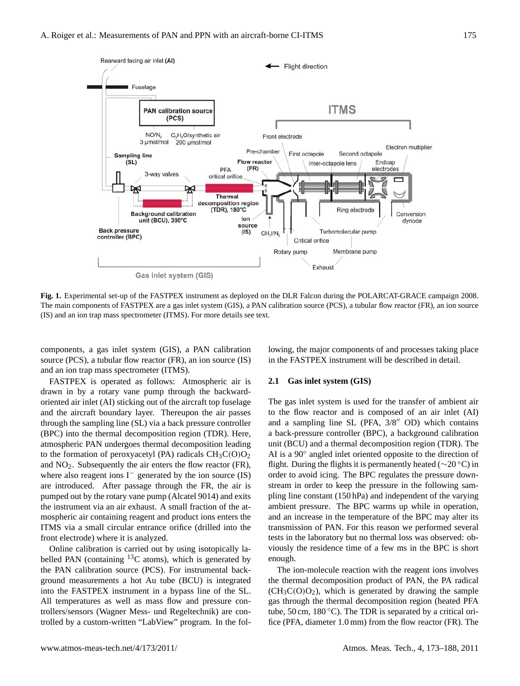

The main components of FASTPEX are a gas inlet system (GIS), a PAN calibration source (PCS), a tubular flow reactor (FR), an ion source (IS) and an ion trap mass spectrometer (ITMS). For more details see text. **Fig. 1.** Experimental set-up of the FASTPEX instrument as deployed on the DLR Falcon during the POLARCAT-GRACE campaign 2008.

 $\mathcal{S}$  and  $\mathcal{S}$  (GIS), a pan calibration source (PCS), a tubular flow recomponents, a gas inlet system (GIS), a PAN calibration lowing, the major<br>components, a gas inlet system (GD), and an ion components in the EASTIDEX and an ion trap mass spectrometer (ITMS). source (PCS), a tubular flow reactor (FR), an ion source (IS)

FASTPEX is operated as follows: Atmospheric air is drawn in by a rotary vane pump through the backwardoriented air inlet (AI) sticking out of the aircraft top fuselage and the aircraft boundary layer. Thereupon the air passes through the sampling line (SL) via a back pressure controller (BPC) into the thermal decomposition region (TDR). Here, atmospheric PAN undergoes thermal decomposition leading to the formation of peroxyacetyl (PA) radicals  $CH_3C(O)O_2$ and  $NO<sub>2</sub>$ . Subsequently the air enters the flow reactor (FR), where also reagent ions I<sup>−</sup> generated by the ion source (IS) are introduced. After passage through the FR, the air is pumped out by the rotary vane pump (Alcatel 9014) and exits the instrument via an air exhaust. A small fraction of the atmospheric air containing reagent and product ions enters the ITMS via a small circular entrance orifice (drilled into the front electrode) where it is analyzed.

Online calibration is carried out by using isotopically labelled PAN (containing  $^{13}$ C atoms), which is generated by the PAN calibration source (PCS). For instrumental background measurements a hot Au tube (BCU) is integrated into the FASTPEX instrument in a bypass line of the SL. All temperatures as well as mass flow and pressure controllers/sensors (Wagner Mess- und Regeltechnik) are controlled by a custom-written "LabView" program. In the following, the major components of and processes taking place in the FASTPEX instrument will be described in detail.

## **2.1 Gas inlet system (GIS)**

The gas inlet system is used for the transfer of ambient air to the flow reactor and is composed of an air inlet (AI) and a sampling line SL (PFA,  $3/8''$  OD) which contains a back-pressure controller (BPC), a background calibration unit (BCU) and a thermal decomposition region (TDR). The AI is a 90◦ angled inlet oriented opposite to the direction of flight. During the flights it is permanently heated ( $\sim$ 20 °C) in order to avoid icing. The BPC regulates the pressure downstream in order to keep the pressure in the following sampling line constant (150 hPa) and independent of the varying ambient pressure. The BPC warms up while in operation, and an increase in the temperature of the BPC may alter its transmission of PAN. For this reason we performed several tests in the laboratory but no thermal loss was observed: obviously the residence time of a few ms in the BPC is short enough.

The ion-molecule reaction with the reagent ions involves the thermal decomposition product of PAN, the PA radical  $(CH<sub>3</sub>C(O)O<sub>2</sub>)$ , which is generated by drawing the sample gas through the thermal decomposition region (heated PFA tube, 50 cm, 180 °C). The TDR is separated by a critical orifice (PFA, diameter 1.0 mm) from the flow reactor (FR). The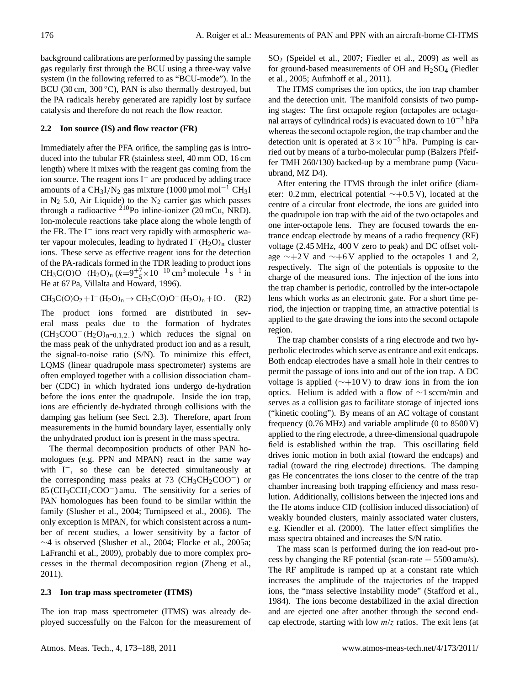background calibrations are performed by passing the sample gas regularly first through the BCU using a three-way valve system (in the following referred to as "BCU-mode"). In the BCU (30 cm, 300 ◦C), PAN is also thermally destroyed, but the PA radicals hereby generated are rapidly lost by surface catalysis and therefore do not reach the flow reactor.

# **2.2 Ion source (IS) and flow reactor (FR)**

Immediately after the PFA orifice, the sampling gas is introduced into the tubular FR (stainless steel, 40 mm OD, 16 cm length) where it mixes with the reagent gas coming from the ion source. The reagent ions I<sup>−</sup> are produced by adding trace amounts of a CH<sub>3</sub>I/N<sub>2</sub> gas mixture (1000 µmol mol<sup>-1</sup> CH<sub>3</sub>I in  $N_2$  5.0, Air Liquide) to the  $N_2$  carrier gas which passes through a radioactive  $^{210}$ Po inline-ionizer (20 mCu, NRD). Ion-molecule reactions take place along the whole length of the FR. The I<sup>−</sup> ions react very rapidly with atmospheric water vapour molecules, leading to hydrated I−(H2O)<sup>n</sup> cluster ions. These serve as effective reagent ions for the detection of the PA-radicals formed in the TDR leading to product ions CH<sub>3</sub>C(O)O<sup>-</sup>(H<sub>2</sub>O)<sub>n</sub> ( $k=9^{+7}_{-5}\times10^{-10}$  cm<sup>3</sup> molecule<sup>-1</sup> s<sup>-1</sup> in He at 67 Pa, [Villalta and Howard, 1996\)](#page-15-14).

# $CH_3C(O)O_2 + I^-(H_2O)_n \to CH_3C(O)O^-(H_2O)_n + IO.$  (R2)

The product ions formed are distributed in several mass peaks due to the formation of hydrates  $(CH_3COO^-(H_2O)_{n=0,1,2}$  which reduces the signal on the mass peak of the unhydrated product ion and as a result, the signal-to-noise ratio (S/N). To minimize this effect, LQMS (linear quadrupole mass spectrometer) systems are often employed together with a collision dissociation chamber (CDC) in which hydrated ions undergo de-hydration before the ions enter the quadrupole. Inside the ion trap, ions are efficiently de-hydrated through collisions with the damping gas helium (see Sect. 2.3). Therefore, apart from measurements in the humid boundary layer, essentially only the unhydrated product ion is present in the mass spectra.

The thermal decomposition products of other PAN homologues (e.g. PPN and MPAN) react in the same way with I−, so these can be detected simultaneously at the corresponding mass peaks at 73 ( $CH<sub>3</sub>CH<sub>2</sub>COO<sup>-</sup>$ ) or  $85 \, (\text{CH}_3\text{CCH}_2\text{COO}^-)$  amu. The sensitivity for a series of PAN homologues has been found to be similar within the family [\(Slusher et al., 2004;](#page-15-9) [Turnipseed et al., 2006\)](#page-15-11). The only exception is MPAN, for which consistent across a number of recent studies, a lower sensitivity by a factor of ∼4 is observed [\(Slusher et al., 2004;](#page-15-9) [Flocke et al., 2005a;](#page-14-11) [LaFranchi et al., 2009\)](#page-14-1), probably due to more complex processes in the thermal decomposition region [\(Zheng et al.,](#page-15-15) [2011\)](#page-15-15).

# **2.3 Ion trap mass spectrometer (ITMS)**

The ion trap mass spectrometer (ITMS) was already deployed successfully on the Falcon for the measurement of SO<sup>2</sup> [\(Speidel et al., 2007;](#page-15-10) [Fiedler et al., 2009\)](#page-13-6) as well as for ground-based measurements of OH and  $H_2SO_4$  [\(Fiedler](#page-13-4) [et al., 2005;](#page-13-4) [Aufmhoff et al., 2011\)](#page-13-5).

The ITMS comprises the ion optics, the ion trap chamber and the detection unit. The manifold consists of two pumping stages: The first octapole region (octapoles are octagonal arrays of cylindrical rods) is evacuated down to  $10^{-3}$  hPa whereas the second octapole region, the trap chamber and the detection unit is operated at  $3 \times 10^{-5}$  hPa. Pumping is carried out by means of a turbo-molecular pump (Balzers Pfeiffer TMH 260/130) backed-up by a membrane pump (Vacuubrand, MZ D4).

After entering the ITMS through the inlet orifice (diameter: 0.2 mm, electrical potential ∼+0.5 V), located at the centre of a circular front electrode, the ions are guided into the quadrupole ion trap with the aid of the two octapoles and one inter-octapole lens. They are focused towards the entrance endcap electrode by means of a radio frequency (RF) voltage (2.45 MHz, 400 V zero to peak) and DC offset voltage  $\sim +2$  V and  $\sim +6$  V applied to the octapoles 1 and 2, respectively. The sign of the potentials is opposite to the charge of the measured ions. The injection of the ions into the trap chamber is periodic, controlled by the inter-octapole lens which works as an electronic gate. For a short time period, the injection or trapping time, an attractive potential is applied to the gate drawing the ions into the second octapole region.

The trap chamber consists of a ring electrode and two hyperbolic electrodes which serve as entrance and exit endcaps. Both endcap electrodes have a small hole in their centres to permit the passage of ions into and out of the ion trap. A DC voltage is applied ( $\sim$ +10 V) to draw ions in from the ion optics. Helium is added with a flow of ∼1 sccm/min and serves as a collision gas to facilitate storage of injected ions ("kinetic cooling"). By means of an AC voltage of constant frequency (0.76 MHz) and variable amplitude (0 to 8500 V) applied to the ring electrode, a three-dimensional quadrupole field is established within the trap. This oscillating field drives ionic motion in both axial (toward the endcaps) and radial (toward the ring electrode) directions. The damping gas He concentrates the ions closer to the centre of the trap chamber increasing both trapping efficiency and mass resolution. Additionally, collisions between the injected ions and the He atoms induce CID (collision induced dissociation) of weakly bounded clusters, mainly associated water clusters, e.g. [Kiendler et al.](#page-14-4) [\(2000\)](#page-14-4). The latter effect simplifies the mass spectra obtained and increases the S/N ratio.

The mass scan is performed during the ion read-out process by changing the RF potential (scan-rate  $= 5500$  amu/s). The RF amplitude is ramped up at a constant rate which increases the amplitude of the trajectories of the trapped ions, the "mass selective instability mode" [\(Stafford et al.,](#page-15-16) [1984\)](#page-15-16). The ions become destabilized in the axial direction and are ejected one after another through the second endcap electrode, starting with low  $m/z$  ratios. The exit lens (at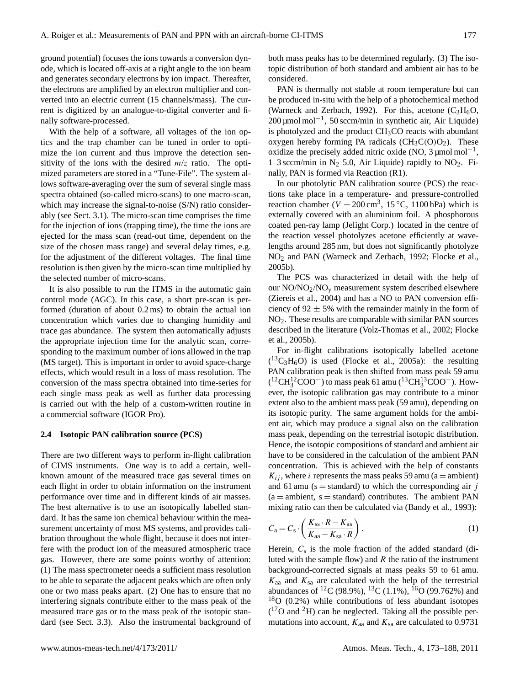ground potential) focuses the ions towards a conversion dynode, which is located off-axis at a right angle to the ion beam and generates secondary electrons by ion impact. Thereafter, the electrons are amplified by an electron multiplier and converted into an electric current (15 channels/mass). The current is digitized by an analogue-to-digital converter and finally software-processed.

With the help of a software, all voltages of the ion optics and the trap chamber can be tuned in order to optimize the ion current and thus improve the detection sensitivity of the ions with the desired  $m/z$  ratio. The optimized parameters are stored in a "Tune-File". The system allows software-averaging over the sum of several single mass spectra obtained (so-called micro-scans) to one macro-scan, which may increase the signal-to-noise (S/N) ratio considerably (see Sect. 3.1). The micro-scan time comprises the time for the injection of ions (trapping time), the time the ions are ejected for the mass scan (read-out time, dependent on the size of the chosen mass range) and several delay times, e.g. for the adjustment of the different voltages. The final time resolution is then given by the micro-scan time multiplied by the selected number of micro-scans.

It is also possible to run the ITMS in the automatic gain control mode (AGC). In this case, a short pre-scan is performed (duration of about 0.2 ms) to obtain the actual ion concentration which varies due to changing humidity and trace gas abundance. The system then automatically adjusts the appropriate injection time for the analytic scan, corresponding to the maximum number of ions allowed in the trap (MS target). This is important in order to avoid space-charge effects, which would result in a loss of mass resolution. The conversion of the mass spectra obtained into time-series for each single mass peak as well as further data processing is carried out with the help of a custom-written routine in a commercial software (IGOR Pro).

### **2.4 Isotopic PAN calibration source (PCS)**

There are two different ways to perform in-flight calibration of CIMS instruments. One way is to add a certain, wellknown amount of the measured trace gas several times on each flight in order to obtain information on the instrument performance over time and in different kinds of air masses. The best alternative is to use an isotopically labelled standard. It has the same ion chemical behaviour within the measurement uncertainty of most MS systems, and provides calibration throughout the whole flight, because it does not interfere with the product ion of the measured atmospheric trace gas. However, there are some points worthy of attention: (1) The mass spectrometer needs a sufficient mass resolution to be able to separate the adjacent peaks which are often only one or two mass peaks apart. (2) One has to ensure that no interfering signals contribute either to the mass peak of the measured trace gas or to the mass peak of the isotopic standard (see Sect. 3.3). Also the instrumental background of both mass peaks has to be determined regularly. (3) The isotopic distribution of both standard and ambient air has to be considered.

PAN is thermally not stable at room temperature but can be produced in-situ with the help of a photochemical method [\(Warneck and Zerbach, 1992\)](#page-15-17). For this, acetone  $(C_3H_6O,$ 200 µmol mol−<sup>1</sup> , 50 sccm/min in synthetic air, Air Liquide) is photolyzed and the product  $CH<sub>3</sub>CO$  reacts with abundant oxygen hereby forming PA radicals  $(CH_3C(O)O_2)$ . These oxidize the precisely added nitric oxide (NO, 3  $\mu$ mol mol<sup>-1</sup>, 1–3 sccm/min in  $N_2$  5.0, Air Liquide) rapidly to  $NO_2$ . Finally, PAN is formed via Reaction (R1).

In our photolytic PAN calibration source (PCS) the reactions take place in a temperature- and pressure-controlled reaction chamber ( $V = 200 \text{ cm}^3$ , 15 °C, 1100 hPa) which is externally covered with an aluminium foil. A phosphorous coated pen-ray lamp (Jelight Corp.) located in the centre of the reaction vessel photolyzes acetone efficiently at wavelengths around 285 nm, but does not significantly photolyze NO<sup>2</sup> and PAN [\(Warneck and Zerbach, 1992;](#page-15-17) [Flocke et al.,](#page-14-3) [2005b\)](#page-14-3).

The PCS was characterized in detail with the help of our  $NO/NO<sub>2</sub>/NO<sub>v</sub>$  measurement system described elsewhere [\(Ziereis et al., 2004\)](#page-15-18) and has a NO to PAN conversion efficiency of  $92 \pm 5$ % with the remainder mainly in the form of NO2. These results are comparable with similar PAN sources described in the literature [\(Volz-Thomas et al., 2002;](#page-15-19) [Flocke](#page-14-3) [et al., 2005b\)](#page-14-3).

For in-flight calibrations isotopically labelled acetone  $(^{13}C_3H_6O)$  is used [\(Flocke et al., 2005a\)](#page-14-11): the resulting PAN calibration peak is then shifted from mass peak 59 amu  $($ <sup>12</sup>CH<sub>3</sub><sup>2</sup>COO<sup>-</sup>) to mass peak 61 amu (<sup>13</sup>CH<sub>3</sub><sup>3</sup>COO<sup>-</sup>). However, the isotopic calibration gas may contribute to a minor extent also to the ambient mass peak (59 amu), depending on its isotopic purity. The same argument holds for the ambient air, which may produce a signal also on the calibration mass peak, depending on the terrestrial isotopic distribution. Hence, the isotopic compositions of standard and ambient air have to be considered in the calculation of the ambient PAN concentration. This is achieved with the help of constants  $K_{ij}$ , where *i* represents the mass peaks 59 amu (a = ambient) and 61 amu ( $s =$ standard) to which the corresponding air j  $(a = ambient, s = standard)$  contributes. The ambient PAN mixing ratio can then be calculated via [\(Bandy et al., 1993\)](#page-13-7):

$$
C_{\rm a} = C_{\rm s} \cdot \left(\frac{K_{\rm ss} \cdot R - K_{\rm as}}{K_{\rm aa} - K_{\rm sa} \cdot R}\right). \tag{1}
$$

Herein,  $C_s$  is the mole fraction of the added standard (diluted with the sample flow) and  $R$  the ratio of the instrument background-corrected signals at mass peaks 59 to 61 amu.  $K_{\text{aa}}$  and  $K_{\text{sa}}$  are calculated with the help of the terrestrial abundances of <sup>12</sup>C (98.9%), <sup>13</sup>C (1.1%), <sup>16</sup>O (99.762%) and  $18$ O (0.2%) while contributions of less abundant isotopes  $(^{17}O$  and <sup>2</sup>H) can be neglected. Taking all the possible permutations into account,  $K_{aa}$  and  $K_{sa}$  are calculated to 0.9731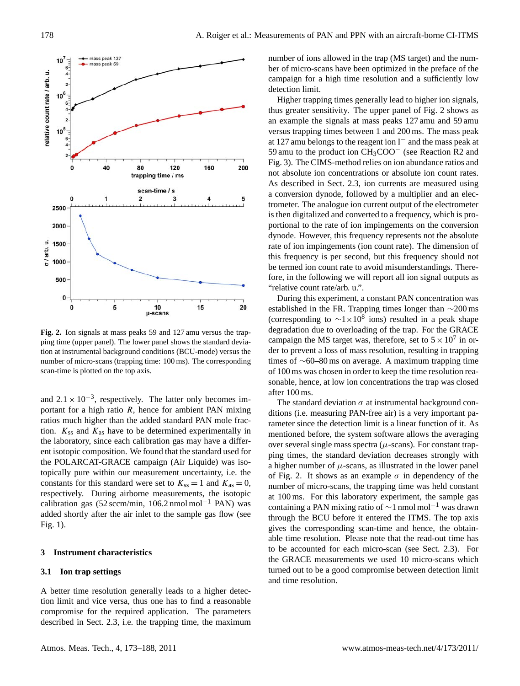

**Fig. 2.** Ion signals at mass peaks 59 and 127 amu versus the trap-**Fig. 2.** Ion signals at mass peaks 59 and 127 amu versus the trapping time (upper panel). The lower panel shows the standard devia-ping time (upper panel). The lower panel shows the standard deviation at instrumental background conditions (BCU-mode) versus the tion at instrumental background conditions (BCU-mode) versus the number of micro-scans (trapping time: 100 ms). The corresponding number of micro-scans (trapping time: 100 ms). The corresponding scan-time is plotted on the top axis. scan-time is plotted on the top axis.

and  $2.1 \times 10^{-3}$ , respectively. The latter only becomes important for a high ratio  $R$ , hence for ambient PAN mixing ratios much higher than the added standard PAN mole fraction.  $K_{ss}$  and  $K_{as}$  have to be determined experimentally in the laboratory, since each calibration gas may have a different isotopic composition. We found that the standard used for the POLARCAT-GRACE campaign (Air Liquide) was isotopically pure within our measurement uncertainty, i.e. the constants for this standard were set to  $K_{ss} = 1$  and  $K_{as} = 0$ , respectively. During airborne measurements, the isotopic calibration gas (52 sccm/min, 106.2 nmol mol<sup>-1</sup> PAN) was added shortly after the air inlet to the sample gas flow (see Fig. 1).

# **3 Instrument characteristics**

#### **3.1 Ion trap settings**

A better time resolution generally leads to a higher detection limit and vice versa, thus one has to find a reasonable compromise for the required application. The parameters described in Sect. 2.3, i.e. the trapping time, the maximum number of ions allowed in the trap (MS target) and the number of micro-scans have been optimized in the preface of the campaign for a high time resolution and a sufficiently low detection limit.

Higher trapping times generally lead to higher ion signals, thus greater sensitivity. The upper panel of Fig. 2 shows as an example the signals at mass peaks 127 amu and 59 amu versus trapping times between 1 and 200 ms. The mass peak at 127 amu belongs to the reagent ion I<sup>−</sup> and the mass peak at 59 amu to the product ion CH3COO<sup>−</sup> (see Reaction R2 and Fig. 3). The CIMS-method relies on ion abundance ratios and not absolute ion concentrations or absolute ion count rates. As described in Sect. 2.3, ion currents are measured using a conversion dynode, followed by a multiplier and an electrometer. The analogue ion current output of the electrometer is then digitalized and converted to a frequency, which is proportional to the rate of ion impingements on the conversion dynode. However, this frequency represents not the absolute rate of ion impingements (ion count rate). The dimension of this frequency is per second, but this frequency should not be termed ion count rate to avoid misunderstandings. Therefore, in the following we will report all ion signal outputs as "relative count rate/arb. u.".

During this experiment, a constant PAN concentration was established in the FR. Trapping times longer than ∼200 ms (corresponding to  $\sim$ 1×10<sup>8</sup> ions) resulted in a peak shape degradation due to overloading of the trap. For the GRACE campaign the MS target was, therefore, set to  $5 \times 10^7$  in order to prevent a loss of mass resolution, resulting in trapping times of ∼60–80 ms on average. A maximum trapping time of 100 ms was chosen in order to keep the time resolution reasonable, hence, at low ion concentrations the trap was closed after 100 ms.

The standard deviation  $\sigma$  at instrumental background conditions (i.e. measuring PAN-free air) is a very important parameter since the detection limit is a linear function of it. As mentioned before, the system software allows the averaging over several single mass spectra ( $\mu$ -scans). For constant trapping times, the standard deviation decreases strongly with a higher number of  $\mu$ -scans, as illustrated in the lower panel of Fig. 2. It shows as an example  $\sigma$  in dependency of the number of micro-scans, the trapping time was held constant at 100 ms. For this laboratory experiment, the sample gas containing a PAN mixing ratio of  $\sim$ 1 nmol mol<sup>-1</sup> was drawn through the BCU before it entered the ITMS. The top axis gives the corresponding scan-time and hence, the obtainable time resolution. Please note that the read-out time has to be accounted for each micro-scan (see Sect. 2.3). For the GRACE measurements we used 10 micro-scans which turned out to be a good compromise between detection limit and time resolution.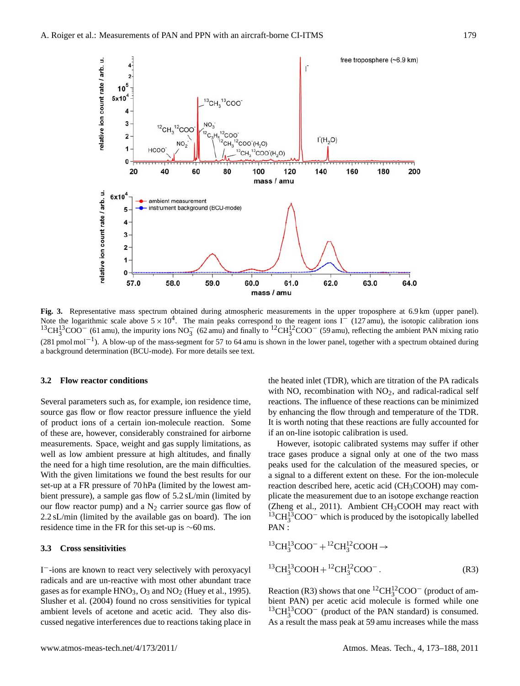

**Fig. 3.** Representative mass spectrum obtained during atmospheric measurements in the upper toposphere at 0.3 km (upper patter).<br>Note the logarithmic scale above  $5 \times 10^4$ . The main peaks correspond to the reagent ions  $^{13}CH_3^{13}COO^-$  (61 amu), the impurity ions NO<sub>3</sub> (62 amu) and finally to <sup>12</sup>CH<sub>3</sub><sup>2</sup>COO<sup>−</sup> (59 amu), reflecting the ambient PAN mixing ratio  $\frac{1}{1}$ . A blow-up of the mass-segment for 57 to 64 amu is shown in the lower part a background determination (BCU-mode). For more details see text.  $\cdot$  more details see text.  $\frac{1}{\sqrt{2}}$  Coo $\frac{1}{\sqrt{2}}$  and input input input ions  $\frac{1}{\sqrt{2}}$ **Fig. 3.** Representative mass spectrum obtained during atmospheric measurements in the upper troposphere at 6.9 km (upper panel). (281 pmol mol<sup>-1</sup>). A blow-up of the mass-segment for 57 to 64 amu is shown in the lower panel, together with a spectrum obtained during

# **3.2 Flow reactor conditions**

Several parameters such as, for example, ion residence time, reactions. The influ source gas flow or flow reactor pressure influence the yield of product ions of a certain ion-molecule reaction. Some of these are, however, considerably constrained for airborne measurements. Space, weight and gas supply limitations, as well as low ambient pressure at high altitudes, and finally the need for a high time resolution, are the main difficulties. With the given limitations we found the best results for our set-up at a FR pressure of 70 hPa (limited by the lowest ambient pressure), a sample gas flow of 5.2 sL/min (limited by our flow reactor pump) and a  $N_2$  carrier source gas flow of 2.2 sL/min (limited by the available gas on board). The ion residence time in the FR for this set-up is ∼60 ms.

# **3.3 Cross sensitivities**

I <sup>−</sup>-ions are known to react very selectively with peroxyacyl radicals and are un-reactive with most other abundant trace gases as for example  $HNO<sub>3</sub>, O<sub>3</sub>$  and  $NO<sub>2</sub>$  [\(Huey et al., 1995\)](#page-14-15). [Slusher et al. \(2004\)](#page-15-9) found no cross sensitivities for typical ambient levels of acetone and acetic acid. They also discussed negative interferences due to reactions taking place in

the heated inlet (TDR), which are titration of the PA radicals with NO, recombination with  $NO<sub>2</sub>$ , and radical-radical self reactions. The influence of these reactions can be minimized by enhancing the flow through and temperature of the TDR. It is worth noting that these reactions are fully accounted for if an on-line isotopic calibration is used.

> However, isotopic calibrated systems may suffer if other trace gases produce a signal only at one of the two mass peaks used for the calculation of the measured species, or a signal to a different extent on these. For the ion-molecule reaction described here, acetic acid (CH<sub>3</sub>COOH) may complicate the measurement due to an isotope exchange reaction [\(Zheng et al., 2011\)](#page-15-15). Ambient  $CH<sub>3</sub>COOH$  may react with  $^{13}$ CH<sub>3</sub><sup>3</sup>COO<sup>-</sup> which is produced by the isotopically labelled PAN :

$$
{}^{13}CH_3^{13}COO^- + {}^{12}CH_3^{12}COOH \rightarrow
$$

$$
{}^{13}CH_3^{13}COOH + {}^{12}CH_3^{12}COO^-.
$$
 (R3)

Reaction (R3) shows that one  ${}^{12}CH_3^{12}COO^-$  (product of ambient PAN) per acetic acid molecule is formed while one  ${}^{13}CH_3^{13}COO^-$  (product of the PAN standard) is consumed. As a result the mass peak at 59 amu increases while the mass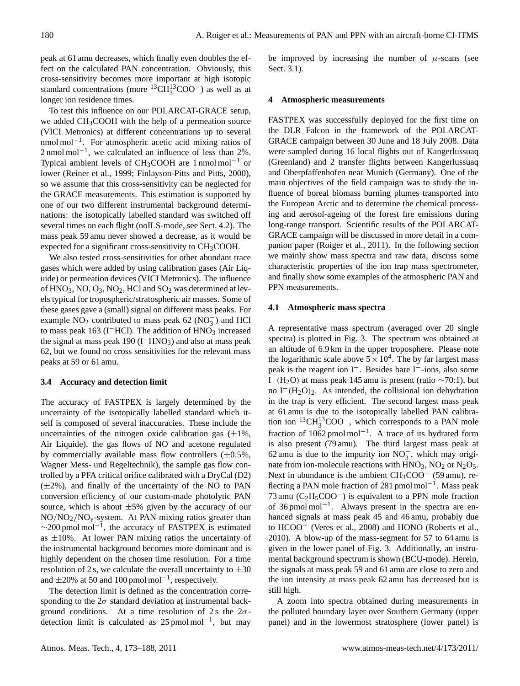peak at 61 amu decreases, which finally even doubles the effect on the calculated PAN concentration. Obviously, this cross-sensitivity becomes more important at high isotopic standard concentrations (more  ${}^{13}CH_3^{13}COO^-$ ) as well as at longer ion residence times.

To test this influence on our POLARCAT-GRACE setup, we added CH3COOH with the help of a permeation source (VICI Metronics) at different concentrations up to several nmol mol<sup>-1</sup>. For atmospheric acetic acid mixing ratios of 2 nmol mol<sup>-1</sup>, we calculated an influence of less than 2%. Typical ambient levels of CH<sub>3</sub>COOH are 1 nmol mol<sup>-1</sup> or lower [\(Reiner et al., 1999;](#page-14-16) Finlayson-Pitts and Pitts, 2000), so we assume that this cross-sensitivity can be neglected for the GRACE measurements. This estimation is supported by one of our two different instrumental background determinations: the isotopically labelled standard was switched off several times on each flight (noILS-mode, see Sect. 4.2). The mass peak 59 amu never showed a decrease, as it would be expected for a significant cross-sensitivity to CH<sub>3</sub>COOH.

We also tested cross-sensitivities for other abundant trace gases which were added by using calibration gases (Air Liquide) or permeation devices (VICI Metronics). The influence of  $HNO<sub>3</sub>$ , NO, O<sub>3</sub>, NO<sub>2</sub>, HCl and SO<sub>2</sub> was determined at levels typical for tropospheric/stratospheric air masses. Some of these gases gave a (small) signal on different mass peaks. For example  $NO_2$  contributed to mass peak 62 ( $NO_3^-$ ) and HCl to mass peak 163 (I<sup>−</sup>HCl). The addition of  $HNO<sub>3</sub>$  increased the signal at mass peak  $190 (I<sup>-</sup>HNO<sub>3</sub>)$  and also at mass peak 62, but we found no cross sensitivities for the relevant mass peaks at 59 or 61 amu.

### **3.4 Accuracy and detection limit**

The accuracy of FASTPEX is largely determined by the uncertainty of the isotopically labelled standard which itself is composed of several inaccuracies. These include the uncertainties of the nitrogen oxide calibration gas  $(\pm 1\%$ , Air Liquide), the gas flows of NO and acetone regulated by commercially available mass flow controllers  $(\pm 0.5\%$ , Wagner Mess- und Regeltechnik), the sample gas flow controlled by a PFA critical orifice calibrated with a DryCal (D2)  $(\pm 2\%)$ , and finally of the uncertainty of the NO to PAN conversion efficiency of our custom-made photolytic PAN source, which is about  $\pm 5\%$  given by the accuracy of our NO/NO2/NOy-system. At PAN mixing ratios greater than  $\sim$ 200 pmol mol<sup>-1</sup>, the accuracy of FASTPEX is estimated as  $\pm 10$ %. At lower PAN mixing ratios the uncertainty of the instrumental background becomes more dominant and is highly dependent on the chosen time resolution. For a time resolution of 2 s, we calculate the overall uncertainty to  $\pm 30$ and  $\pm 20\%$  at 50 and 100 pmol mol<sup>-1</sup>, respectively.

The detection limit is defined as the concentration corresponding to the  $2\sigma$  standard deviation at instrumental background conditions. At a time resolution of 2 s the  $2\sigma$ detection limit is calculated as  $25$  pmol mol<sup>-1</sup>, but may

be improved by increasing the number of  $\mu$ -scans (see Sect. 3.1).

#### **4 Atmospheric measurements**

FASTPEX was successfully deployed for the first time on the DLR Falcon in the framework of the POLARCAT-GRACE campaign between 30 June and 18 July 2008. Data were sampled during 16 local flights out of Kangerlussuaq (Greenland) and 2 transfer flights between Kangerlussuaq and Oberpfaffenhofen near Munich (Germany). One of the main objectives of the field campaign was to study the influence of boreal biomass burning plumes transported into the European Arctic and to determine the chemical processing and aerosol-ageing of the forest fire emissions during long-range transport. Scientific results of the POLARCAT-GRACE campaign will be discussed in more detail in a companion paper [\(Roiger et al., 2011\)](#page-15-20). In the following section we mainly show mass spectra and raw data, discuss some characteristic properties of the ion trap mass spectrometer, and finally show some examples of the atmospheric PAN and PPN measurements.

#### **4.1 Atmospheric mass spectra**

A representative mass spectrum (averaged over 20 single spectra) is plotted in Fig. 3. The spectrum was obtained at an altitude of 6.9 km in the upper troposphere. Please note the logarithmic scale above  $5 \times 10^4$ . The by far largest mass peak is the reagent ion I−. Besides bare I−-ions, also some I <sup>−</sup>(H2O) at mass peak 145 amu is present (ratio ∼70:1), but no I<sup>−</sup>(H<sub>2</sub>O)<sub>2</sub>. As intended, the collisional ion dehydration in the trap is very efficient. The second largest mass peak at 61 amu is due to the isotopically labelled PAN calibration ion  ${}^{13}CH_3^{13}COO^-$ , which corresponds to a PAN mole fraction of  $1062$  pmol mol<sup>-1</sup>. A trace of its hydrated form is also present (79 amu). The third largest mass peak at 62 amu is due to the impurity ion  $NO_3^-$ , which may originate from ion-molecule reactions with  $HNO<sub>3</sub>$ ,  $NO<sub>2</sub>$  or  $N<sub>2</sub>O<sub>5</sub>$ . Next in abundance is the ambient  $CH<sub>3</sub>COO<sup>-</sup>$  (59 amu), reflecting a PAN mole fraction of 281 pmol mol<sup>-1</sup>. Mass peak 73 amu ( $C_2H_5COO^-$ ) is equivalent to a PPN mole fraction of 36 pmol mol−<sup>1</sup> . Always present in the spectra are enhanced signals at mass peak 45 and 46 amu, probably due to HCOO<sup>−</sup> [\(Veres et al., 2008\)](#page-15-21) and HONO [\(Roberts et al.,](#page-15-22) [2010\)](#page-15-22). A blow-up of the mass-segment for 57 to 64 amu is given in the lower panel of Fig. 3. Additionally, an instrumental background spectrum is shown (BCU-mode). Herein, the signals at mass peak 59 and 61 amu are close to zero and the ion intensity at mass peak 62 amu has decreased but is still high.

A zoom into spectra obtained during measurements in the polluted boundary layer over Southern Germany (upper panel) and in the lowermost stratosphere (lower panel) is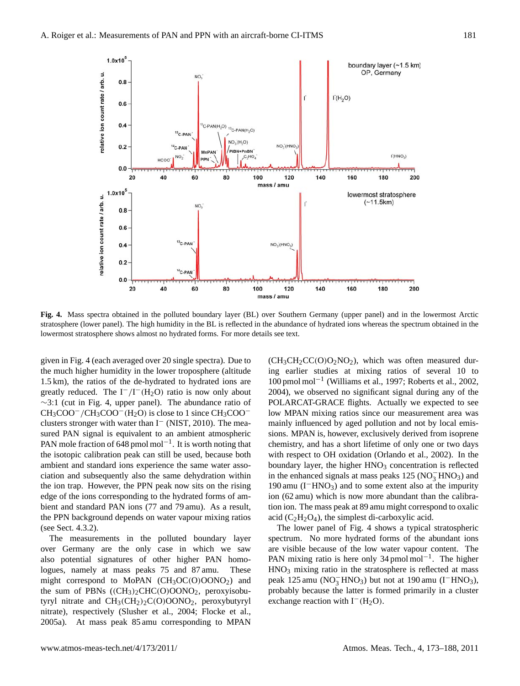

**Fig. 4.** Mass spectra obtained in the polluted boundary layer (BL) over Southern Germany (upper panel) and in the lowermost Arctic over panel). The mgn nummary in the BE is renected in the abandance of riyal<br>sphere shows almost no hydrated forms. For more details see text lowermost stratosphere shows almost no hydrated forms. For more details see text. stratosphere (lower panel). The high humidity in the BL is reflected in the abundance of hydrated ions whereas the spectrum obtained in the

given in Fig. 4 (each averaged over 20 single spectra). Due to  $\qquad$   $CH_3CH_2CC(0)$ the much higher humidity in the lower troposphere (altitude 1.5 km), the ratios of the de-hydrated to hydrated ions are greatly reduced. The  $I^-/I^-$  (H<sub>2</sub>O) ratio is now only about ∼3:1 (cut in Fig. 4, upper panel). The abundance ratio of  $CH_3COO^-/CH_3COO^-(H_2O)$  is close to 1 since  $CH_3COO^$ clusters stronger with water than I<sup>−</sup> [\(NIST, 2010\)](#page-14-17). The measured PAN signal is equivalent to an ambient atmospheric PAN mole fraction of 648 pmol mol<sup>-1</sup>. It is worth noting that the isotopic calibration peak can still be used, because both ambient and standard ions experience the same water association and subsequently also the same dehydration within the ion trap. However, the PPN peak now sits on the rising edge of the ions corresponding to the hydrated forms of ambient and standard PAN ions (77 and 79 amu). As a result, the PPN background depends on water vapour mixing ratios (see Sect. 4.3.2).

The measurements in the polluted boundary layer over Germany are the only case in which we saw also potential signatures of other higher PAN homologues, namely at mass peaks 75 and 87 amu. These might correspond to MoPAN  $(CH_3OC(O)OONO_2)$  and the sum of PBNs  $((CH<sub>3</sub>)<sub>2</sub>CHC(O)OONO<sub>2</sub>, peroxyisobu$ tyryl nitrate and CH<sub>3</sub>(CH<sub>2</sub>)<sub>2</sub>C(O)OONO<sub>2</sub>, peroxybutyryl nitrate), respectively [\(Slusher et al., 2004;](#page-15-9) [Flocke et al.,](#page-14-11) [2005a\)](#page-14-11). At mass peak 85 amu corresponding to MPAN

 $(CH_3CH_2CC(O)O_2NO_2)$ , which was often measured during earlier studies at mixing ratios of several 10 to 100 pmol mol−<sup>1</sup> [\(Williams et al., 1997;](#page-15-5) [Roberts et al., 2002,](#page-14-2) [2004\)](#page-15-2), we observed no significant signal during any of the POLARCAT-GRACE flights. Actually we expected to see low MPAN mixing ratios since our measurement area was mainly influenced by aged pollution and not by local emissions. MPAN is, however, exclusively derived from isoprene chemistry, and has a short lifetime of only one or two days with respect to OH oxidation [\(Orlando et al., 2002\)](#page-14-18). In the boundary layer, the higher HNO<sub>3</sub> concentration is reflected in the enhanced signals at mass peaks  $125 \, (\text{NO}_3^- \text{HNO}_3)$  and 190 amu (I−HNO3) and to some extent also at the impurity ion (62 amu) which is now more abundant than the calibration ion. The mass peak at 89 amu might correspond to oxalic acid  $(C_2H_2O_4)$ , the simplest di-carboxylic acid.

The lower panel of Fig. 4 shows a typical stratospheric spectrum. No more hydrated forms of the abundant ions are visible because of the low water vapour content. The PAN mixing ratio is here only 34 pmol mol<sup>-1</sup>. The higher  $HNO<sub>3</sub>$  mixing ratio in the stratosphere is reflected at mass peak 125 amu (NO<sub>3</sub> HNO<sub>3</sub>) but not at 190 amu (I<sup>-</sup>HNO<sub>3</sub>), probably because the latter is formed primarily in a cluster exchange reaction with  $I^-(H_2O)$ .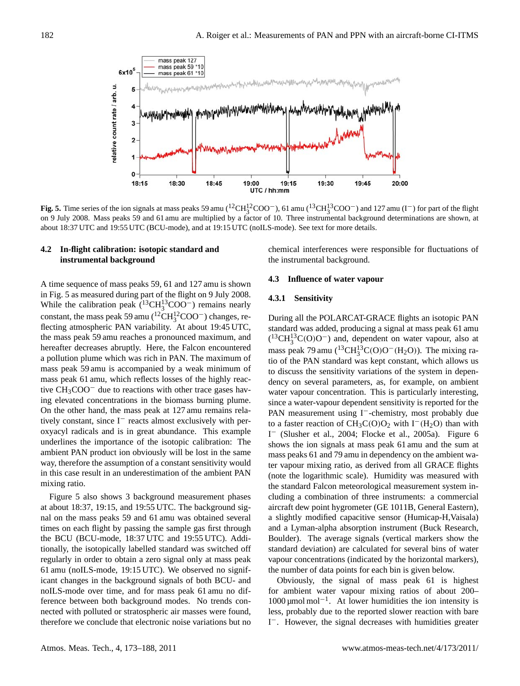

**Fig. 5.** Time series of the ion signals at mass peaks 59 amu (<sup>12</sup>CH<sub>1</sub><sup>2</sup>COO<sup>−</sup>), 61 amu (<sup>13</sup>CH<sub>1</sub><sup>3</sup>COO<sup>−</sup>) and 127 amu (I<sup>−</sup>) for part of the flight on 9 July 2008. Mass peaks 59 and 61 amu are multiplied by a factor of 10. Three instrumental background determinations are shown, at about 18:37 UTC and 19:55 UTC (BCU-mode), and at 19:15 UTC (noILS-mode). See text for more details.

#### **4.2** In-flight calibration: isotopic standard and 19:55 University chemical interfe **background at 19:15 UTC (noine instrumental background.** See the instrumental background. **instrumental background**

A time sequence of mass peaks 59, 61 and 127 amu is shown in Fig. 5 as measured during part of the flight on 9 July 2008. While the calibration peak  $(^{13}CH_3^{13}COO^-)$  remains nearly constant, the mass peak 59 amu  $(^{12}CH_3^{12}COO^-)$  changes, reflecting atmospheric PAN variability. At about 19:45 UTC, the mass peak 59 amu reaches a pronounced maximum, and hereafter decreases abruptly. Here, the Falcon encountered a pollution plume which was rich in PAN. The maximum of mass peak 59 amu is accompanied by a weak minimum of mass peak 61 amu, which reflects losses of the highly reactive CH3COO<sup>−</sup> due to reactions with other trace gases having elevated concentrations in the biomass burning plume. On the other hand, the mass peak at 127 amu remains relatively constant, since I<sup>−</sup> reacts almost exclusively with peroxyacyl radicals and is in great abundance. This example underlines the importance of the isotopic calibration: The ambient PAN product ion obviously will be lost in the same way, therefore the assumption of a constant sensitivity would in this case result in an underestimation of the ambient PAN mixing ratio.

Figure 5 also shows 3 background measurement phases at about 18:37, 19:15, and 19:55 UTC. The background signal on the mass peaks 59 and 61 amu was obtained several times on each flight by passing the sample gas first through the BCU (BCU-mode, 18:37 UTC and 19:55 UTC). Additionally, the isotopically labelled standard was switched off regularly in order to obtain a zero signal only at mass peak 61 amu (noILS-mode, 19:15 UTC). We observed no significant changes in the background signals of both BCU- and noILS-mode over time, and for mass peak 61 amu no difference between both background modes. No trends connected with polluted or stratospheric air masses were found, therefore we conclude that electronic noise variations but no chemical interferences were responsible for fluctuations of

#### **4.3 Influence of water vapour**

#### **4.3.1 Sensitivity**

During all the POLARCAT-GRACE flights an isotopic PAN standard was added, producing a signal at mass peak 61 amu  $(^{13}CH_3^{13}C(O)O^-)$  and, dependent on water vapour, also at mass peak 79 amu  $(^{13}CH_3^{13}C(O)O^-(H_2O))$ . The mixing ratio of the PAN standard was kept constant, which allows us to discuss the sensitivity variations of the system in dependency on several parameters, as, for example, on ambient water vapour concentration. This is particularly interesting, since a water-vapour dependent sensitivity is reported for the PAN measurement using I<sup>−</sup>-chemistry, most probably due to a faster reaction of CH<sub>3</sub>C(O)O<sub>2</sub> with I<sup>-</sup>(H<sub>2</sub>O) than with I <sup>−</sup> [\(Slusher et al., 2004;](#page-15-9) [Flocke et al., 2005a\)](#page-14-11). Figure 6 shows the ion signals at mass peak 61 amu and the sum at mass peaks 61 and 79 amu in dependency on the ambient water vapour mixing ratio, as derived from all GRACE flights (note the logarithmic scale). Humidity was measured with the standard Falcon meteorological measurement system including a combination of three instruments: a commercial aircraft dew point hygrometer (GE 1011B, General Eastern), a slightly modified capacitive sensor (Humicap-H,Vaisala) and a Lyman-alpha absorption instrument (Buck Research, Boulder). The average signals (vertical markers show the standard deviation) are calculated for several bins of water vapour concentrations (indicated by the horizontal markers), the number of data points for each bin is given below.

Obviously, the signal of mass peak 61 is highest for ambient water vapour mixing ratios of about 200– 1000 µmol mol−<sup>1</sup> . At lower humidities the ion intensity is less, probably due to the reported slower reaction with bare I <sup>−</sup>. However, the signal decreases with humidities greater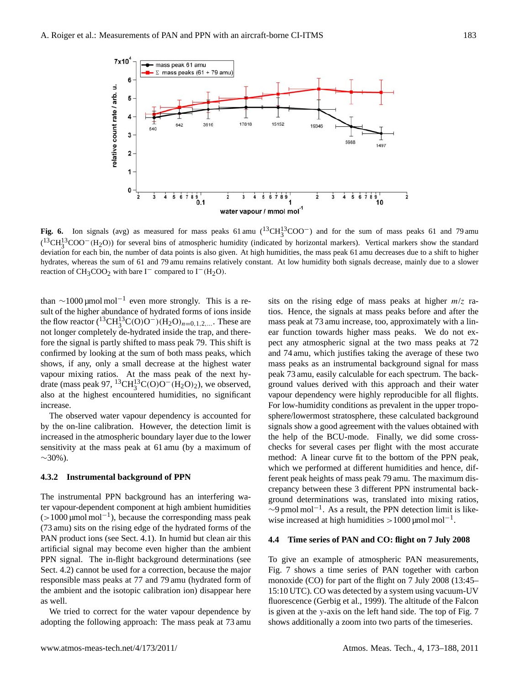5

 $7x10$ 

6

5

4

 $\overline{\mathbf{3}}$ 





**Fig. 6.** Ion signals (avg) as measured for mass peaks 61 amu (<sup>13</sup>CH<sub>3</sub><sup>3</sup>COO<sup>−</sup>) and for the sum of mass peaks 61 and 79 amu  $($ <sup>13</sup>CH<sub>3</sub><sup>3</sup>COO<sup>-</sup>(H<sub>2</sub>O)) for several bins of atmospheric humidity (indicated by horizontal markers). Vertical markers show the standard deviation for each bin, the number of data points is also given. At high humidities, the mass peak 61 amu decreases due to a shift to higher hydrates, whereas the sum of 61 and 79 amu remains relatively constant. At low humidity both signals decrease, mainly due to a slower reaction of  $CH_3COO_2$  with bare I<sup>−</sup> compared to I<sup>−</sup>(H<sub>2</sub>O).

to higher hydrates, whereas the sum of 61 and 79 amu remains rel-

than ∼1000 µmol mol<sup>-1</sup> even more strongly. This is a re- sits on the rising sult of the higher abundance of hydrated forms of ions inside tios the flow reactor  $({}^{13}CH_3^{13}C(O)O^-) (H_2O)_{n=0,1,2,...}$ . These are not longer completely de-hydrated inside the trap, and therefore the signal is partly shifted to mass peak 79. This shift is confirmed by looking at the sum of both mass peaks, which shows, if any, only a small decrease at the highest water vapour mixing ratios. At the mass peak of the next hydrate (mass peak 97, <sup>13</sup>CH<sub>3</sub><sup>13</sup>C(O)O<sup>-</sup>(H<sub>2</sub>O)<sub>2</sub>), we observed, also at the highest encountered humidities, no significant increase.

The observed water vapour dependency is accounted for by the on-line calibration. However, the detection limit is increased in the atmospheric boundary layer due to the lower sensitivity at the mass peak at 61 amu (by a maximum of  $~\sim$ 30%).

#### **4.3.2 Instrumental background of PPN**

The instrumental PPN background has an interfering water vapour-dependent component at high ambient humidities (>1000 µmol mol−<sup>1</sup> ), because the corresponding mass peak (73 amu) sits on the rising edge of the hydrated forms of the PAN product ions (see Sect. 4.1). In humid but clean air this artificial signal may become even higher than the ambient PPN signal. The in-flight background determinations (see Sect. 4.2) cannot be used for a correction, because the major responsible mass peaks at 77 and 79 amu (hydrated form of the ambient and the isotopic calibration ion) disappear here as well.

We tried to correct for the water vapour dependence by adopting the following approach: The mass peak at 73 amu

tios. Hence, the signals at mass peaks before and after the sits on the rising edge of mass peaks at higher  $m/z$  ramass peak at 73 amu increase, too, approximately with a linear function towards higher mass peaks. We do not expect any atmospheric signal at the two mass peaks at 72 and 74 amu, which justifies taking the average of these two mass peaks as an instrumental background signal for mass peak 73 amu, easily calculable for each spectrum. The background values derived with this approach and their water vapour dependency were highly reproducible for all flights. For low-humidity conditions as prevalent in the upper troposphere/lowermost stratosphere, these calculated background signals show a good agreement with the values obtained with the help of the BCU-mode. Finally, we did some crosschecks for several cases per flight with the most accurate method: A linear curve fit to the bottom of the PPN peak, which we performed at different humidities and hence, different peak heights of mass peak 79 amu. The maximum discrepancy between these 3 different PPN instrumental background determinations was, translated into mixing ratios,  $\sim$ 9 pmol mol<sup>-1</sup>. As a result, the PPN detection limit is likewise increased at high humidities  $>1000$  µmol mol<sup>-1</sup>.

# **4.4 Time series of PAN and CO: flight on 7 July 2008**

To give an example of atmospheric PAN measurements, Fig. 7 shows a time series of PAN together with carbon monoxide (CO) for part of the flight on 7 July 2008 (13:45– 15:10 UTC). CO was detected by a system using vacuum-UV fluorescence [\(Gerbig et al., 1999\)](#page-14-19). The altitude of the Falcon is given at the y-axis on the left hand side. The top of Fig. 7 shows additionally a zoom into two parts of the timeseries.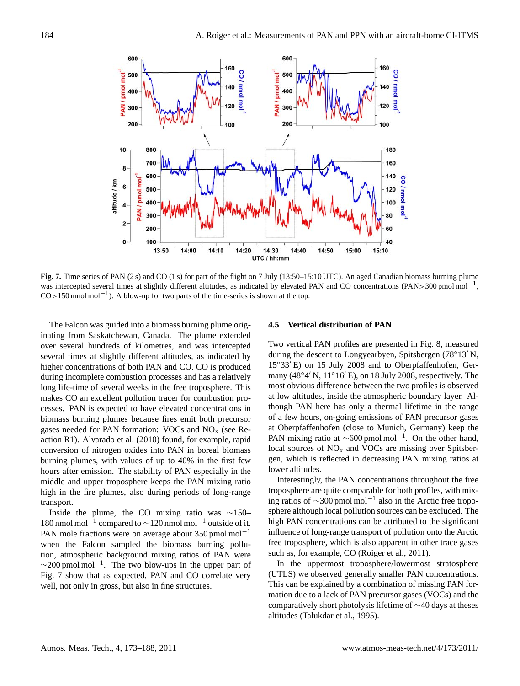

**Fig. 7.** Time series of PAN (2 s) and CO (1 s) for part of the flight on 7 July (13:50–15:10 UTC). An aged Canadian biomass burning plume was intercepted several times at slightly different altitudes, as indicated by elevated PAN and CO concentrations (PAN>300 pmol mol<sup>-1</sup>,  $CO>150$  nmol mol<sup>-1</sup>). A blow-up for two parts of the time-series is shown at the top.

(PAN>300 pmol mol<sup>−</sup><sup>1</sup> , CO>150 nmol mol<sup>−</sup><sup>1</sup> The Falcon was guided into a biomass burning plume originating from Saskatchewan, Canada. The plume extended over several hundreds of kilometres, and was intercepted several times at slightly different altitudes, as indicated by higher concentrations of both PAN and CO. CO is produced during incomplete combustion processes and has a relatively long life-time of several weeks in the free troposphere. This makes CO an excellent pollution tracer for combustion processes. PAN is expected to have elevated concentrations in biomass burning plumes because fires emit both precursor gases needed for PAN formation: VOCs and  $NO<sub>x</sub>$  (see Reaction R1). [Alvarado et al.](#page-13-3) [\(2010\)](#page-13-3) found, for example, rapid conversion of nitrogen oxides into PAN in boreal biomass burning plumes, with values of up to 40% in the first few hours after emission. The stability of PAN especially in the middle and upper troposphere keeps the PAN mixing ratio high in the fire plumes, also during periods of long-range transport.

Inside the plume, the CO mixing ratio was ∼150– 180 nmol mol−<sup>1</sup> compared to ∼120 nmol mol−<sup>1</sup> outside of it. PAN mole fractions were on average about 350 pmol mol<sup>−1</sup> when the Falcon sampled the biomass burning pollution, atmospheric background mixing ratios of PAN were  $\sim$ 200 pmol mol<sup>-1</sup>. The two blow-ups in the upper part of Fig. 7 show that as expected, PAN and CO correlate very well, not only in gross, but also in fine structures.

# 4.5 Vertical distribution of PAN

Two vertical PAN profiles are presented in Fig. 8, measured during the descent to Longyearbyen, Spitsbergen  $(78°13'N,$  $15°33'E$ ) on 15 July 2008 and to Oberpfaffenhofen, Germany (48°4' N, 11°16' E), on 18 July 2008, respectively. The most obvious difference between the two profiles is observed at low altitudes, inside the atmospheric boundary layer. Although PAN here has only a thermal lifetime in the range of a few hours, on-going emissions of PAN precursor gases at Oberpfaffenhofen (close to Munich, Germany) keep the PAN mixing ratio at  $\sim$ 600 pmol mol<sup>-1</sup>. On the other hand, local sources of  $NO<sub>x</sub>$  and VOCs are missing over Spitsbergen, which is reflected in decreasing PAN mixing ratios at lower altitudes.

Interestingly, the PAN concentrations throughout the free troposphere are quite comparable for both profiles, with mixing ratios of ∼300 pmol mol−<sup>1</sup> also in the Arctic free troposphere although local pollution sources can be excluded. The high PAN concentrations can be attributed to the significant influence of long-range transport of pollution onto the Arctic free troposphere, which is also apparent in other trace gases such as, for example, CO [\(Roiger et al., 2011\)](#page-15-20).

In the uppermost troposphere/lowermost stratosphere (UTLS) we observed generally smaller PAN concentrations. This can be explained by a combination of missing PAN formation due to a lack of PAN precursor gases (VOCs) and the comparatively short photolysis lifetime of ∼40 days at theses altitudes [\(Talukdar et al., 1995\)](#page-15-1).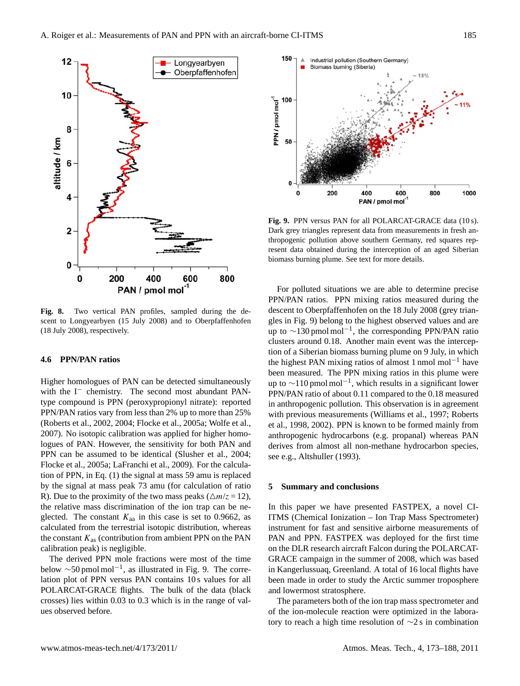

**8.** Two vertical PAN profiles, sampled during Fig. 8. Two vertical PAN profiles, sampled during the descent to Longyearbyen (15 July 2008) and to Oberpfaffenhofen (18 July 2008), respectively.

# **4.6 PPN/PAN ratios**

Higher homologues of PAN can be detected simultaneously with the I<sup>−</sup> chemistry. The second most abundant PANtype compound is PPN (peroxypropionyl nitrate): reported PPN/PAN ratios vary from less than 2% up to more than 25% [\(Roberts et al., 2002,](#page-14-2) [2004;](#page-15-2) [Flocke et al., 2005a;](#page-14-11) [Wolfe et al.,](#page-15-4) [2007\)](#page-15-4). No isotopic calibration was applied for higher homologues of PAN. However, the sensitivity for both PAN and PPN can be assumed to be identical [\(Slusher et al., 2004;](#page-15-9) [Flocke et al., 2005a;](#page-14-11) [LaFranchi et al., 2009\)](#page-14-1). For the calculation of PPN, in Eq. (1) the signal at mass 59 amu is replaced by the signal at mass peak 73 amu (for calculation of ratio R). Due to the proximity of the two mass peaks ( $\Delta m/z = 12$ ), the relative mass discrimination of the ion trap can be neglected. The constant  $K_{aa}$  in this case is set to 0.9662, as calculated from the terrestrial isotopic distribution, whereas the constant  $K_{\text{as}}$  (contribution from ambient PPN on the PAN calibration peak) is negligible.

The derived PPN mole fractions were most of the time below  $\sim$ 50 pmol mol<sup>-1</sup>, as illustrated in Fig. 9. The correlation plot of PPN versus PAN contains 10 s values for all POLARCAT-GRACE flights. The bulk of the data (black crosses) lies within 0.03 to 0.3 which is in the range of values observed before.



Fig. 9. PPN versus PAN for all POLARCAT-GRACE data (10 s). Dark grey triangles represent data from measurements in fresh anthropogenic pollution above southern Germany, red squares repanopogente ponduon doove southern dermany, red squares represent data obtained during the interception of an aged Siberian biomass burning plume. See text for more details.

For polluted situations we are able to determine precise PPN/PAN ratios. PPN mixing ratios measured during the descent to Oberpfaffenhofen on the 18 July 2008 (grey triangles in Fig. 9) belong to the highest observed values and are up to ∼130 pmol mol−<sup>1</sup> , the corresponding PPN/PAN ratio clusters around 0.18. Another main event was the interception of a Siberian biomass burning plume on 9 July, in which the highest PAN mixing ratios of almost 1 nmol mol<sup>-1</sup> have been measured. The PPN mixing ratios in this plume were up to  $\sim$ 110 pmol mol<sup>-1</sup>, which results in a significant lower PPN/PAN ratio of about 0.11 compared to the 0.18 measured in anthropogenic pollution. This observation is in agreement with previous measurements [\(Williams et al., 1997;](#page-15-5) [Roberts](#page-14-20) [et al., 1998,](#page-14-20) [2002\)](#page-14-2). PPN is known to be formed mainly from anthropogenic hydrocarbons (e.g. propanal) whereas PAN derives from almost all non-methane hydrocarbon species, see e.g., [Altshuller](#page-13-0) [\(1993\)](#page-13-0).

#### **5 Summary and conclusions**

In this paper we have presented FASTPEX, a novel CI-ITMS (Chemical Ionization – Ion Trap Mass Spectrometer) instrument for fast and sensitive airborne measurements of PAN and PPN. FASTPEX was deployed for the first time on the DLR research aircraft Falcon during the POLARCAT-GRACE campaign in the summer of 2008, which was based in Kangerlussuaq, Greenland. A total of 16 local flights have been made in order to study the Arctic summer troposphere and lowermost stratosphere.

The parameters both of the ion trap mass spectrometer and of the ion-molecule reaction were optimized in the laboratory to reach a high time resolution of ∼2 s in combination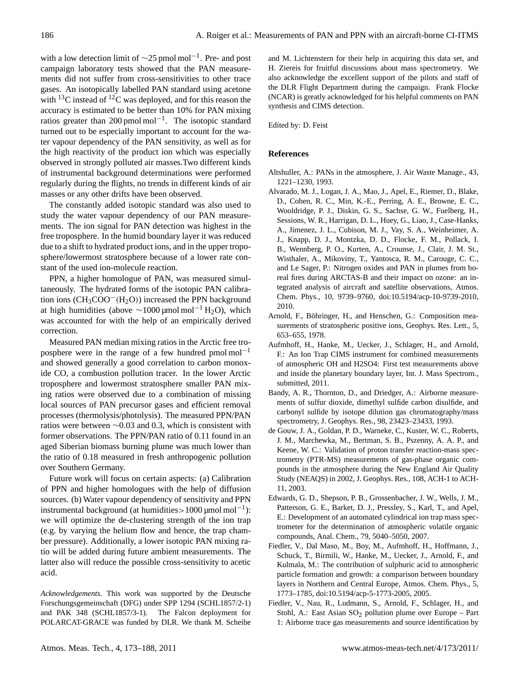with a low detection limit of  $\sim$ 25 pmol mol<sup>-1</sup>. Pre- and post campaign laboratory tests showed that the PAN measurements did not suffer from cross-sensitivities to other trace gases. An isotopically labelled PAN standard using acetone with  $^{13}$ C instead of  $^{12}$ C was deployed, and for this reason the accuracy is estimated to be better than 10% for PAN mixing ratios greater than 200 pmol mol−<sup>1</sup> . The isotopic standard turned out to be especially important to account for the water vapour dependency of the PAN sensitivity, as well as for the high reactivity of the product ion which was especially observed in strongly polluted air masses.Two different kinds of instrumental background determinations were performed regularly during the flights, no trends in different kinds of air masses or any other drifts have been observed.

The constantly added isotopic standard was also used to study the water vapour dependency of our PAN measurements. The ion signal for PAN detection was highest in the free troposphere. In the humid boundary layer it was reduced due to a shift to hydrated product ions, and in the upper troposphere/lowermost stratosphere because of a lower rate constant of the used ion-molecule reaction.

PPN, a higher homologue of PAN, was measured simultaneously. The hydrated forms of the isotopic PAN calibration ions (CH3COO−(H2O)) increased the PPN background at high humidities (above ∼1000 µmol mol<sup>-1</sup> H<sub>2</sub>O), which was accounted for with the help of an empirically derived correction.

Measured PAN median mixing ratios in the Arctic free troposphere were in the range of a few hundred pmol mol<sup>-1</sup> and showed generally a good correlation to carbon monoxide CO, a combustion pollution tracer. In the lower Arctic troposphere and lowermost stratosphere smaller PAN mixing ratios were observed due to a combination of missing local sources of PAN precursor gases and efficient removal processes (thermolysis/photolysis). The measured PPN/PAN ratios were between ∼0.03 and 0.3, which is consistent with former observations. The PPN/PAN ratio of 0.11 found in an aged Siberian biomass burning plume was much lower than the ratio of 0.18 measured in fresh anthropogenic pollution over Southern Germany.

Future work will focus on certain aspects: (a) Calibration of PPN and higher homologues with the help of diffusion sources. (b) Water vapour dependency of sensitivity and PPN instrumental background (at humidities >  $1000 \mu$ mol mol<sup>-1</sup>): we will optimize the de-clustering strength of the ion trap (e.g. by varying the helium flow and hence, the trap chamber pressure). Additionally, a lower isotopic PAN mixing ratio will be added during future ambient measurements. The latter also will reduce the possible cross-sensitivity to acetic acid.

*Acknowledgements.* This work was supported by the Deutsche Forschungsgemeinschaft (DFG) under SPP 1294 (SCHL1857/2-1) and PAK 348 (SCHL1857/3-1). The Falcon deployment for POLARCAT-GRACE was funded by DLR. We thank M. Scheibe and M. Lichtenstern for their help in acquiring this data set, and H. Ziereis for fruitful discussions about mass spectrometry. We also acknowledge the excellent support of the pilots and staff of the DLR Flight Department during the campaign. Frank Flocke (NCAR) is greatly acknowledged for his helpful comments on PAN synthesis and CIMS detection.

#### Edited by: D. Feist

# **References**

- <span id="page-13-0"></span>Altshuller, A.: PANs in the atmosphere, J. Air Waste Manage., 43, 1221–1230, 1993.
- <span id="page-13-3"></span>Alvarado, M. J., Logan, J. A., Mao, J., Apel, E., Riemer, D., Blake, D., Cohen, R. C., Min, K.-E., Perring, A. E., Browne, E. C., Wooldridge, P. J., Diskin, G. S., Sachse, G. W., Fuelberg, H., Sessions, W. R., Harrigan, D. L., Huey, G., Liao, J., Case-Hanks, A., Jimenez, J. L., Cubison, M. J., Vay, S. A., Weinheimer, A. J., Knapp, D. J., Montzka, D. D., Flocke, F. M., Pollack, I. B., Wennberg, P. O., Kurten, A., Crounse, J., Clair, J. M. St., Wisthaler, A., Mikoviny, T., Yantosca, R. M., Carouge, C. C., and Le Sager, P.: Nitrogen oxides and PAN in plumes from boreal fires during ARCTAS-B and their impact on ozone: an integrated analysis of aircraft and satellite observations, Atmos. Chem. Phys., 10, 9739–9760, doi:10.5194/acp-10-9739-2010, 2010.
- <span id="page-13-1"></span>Arnold, F., Böhringer, H., and Henschen, G.: Composition measurements of stratospheric positive ions, Geophys. Res. Lett., 5, 653–655, 1978.
- <span id="page-13-5"></span>Aufmhoff, H., Hanke, M., Uecker, J., Schlager, H., and Arnold, F.: An Ion Trap CIMS instrument for combined measurements of atmospheric OH and H2SO4: First test measurements above and inside the planetary boundary layer, Int. J. Mass Spectrom., submitted, 2011.
- <span id="page-13-7"></span>Bandy, A. R., Thornton, D., and Driedger, A.: Airborne measurements of sulfur dioxide, dimethyl sulfide carbon disulfide, and carbonyl sulfide by isotope dilution gas chromatography/mass spectrometry, J. Geophys. Res., 98, 23423–23433, 1993.
- <span id="page-13-2"></span>de Gouw, J. A., Goldan, P. D., Warneke, C., Kuster, W. C., Roberts, J. M., Marchewka, M., Bertman, S. B., Pszenny, A. A. P., and Keene, W. C.: Validation of proton transfer reaction-mass spectrometry (PTR-MS) measurements of gas-phase organic compounds in the atmosphere during the New England Air Quality Study (NEAQS) in 2002, J. Geophys. Res., 108, ACH-1 to ACH-11, 2003.
- Edwards, G. D., Shepson, P. B., Grossenbacher, J. W., Wells, J. M., Patterson, G. E., Barket, D. J., Pressley, S., Karl, T., and Apel, E.: Development of an automated cylindrical ion trap mass spectrometer for the determination of atmospheric volatile organic compounds, Anal. Chem., 79, 5040–5050, 2007.
- <span id="page-13-4"></span>Fiedler, V., Dal Maso, M., Boy, M., Aufmhoff, H., Hoffmann, J., Schuck, T., Birmili, W., Hanke, M., Uecker, J., Arnold, F., and Kulmala, M.: The contribution of sulphuric acid to atmospheric particle formation and growth: a comparison between boundary layers in Northern and Central Europe, Atmos. Chem. Phys., 5, 1773–1785, doi:10.5194/acp-5-1773-2005, 2005.
- <span id="page-13-6"></span>Fiedler, V., Nau, R., Ludmann, S., Arnold, F., Schlager, H., and Stohl, A.: East Asian  $SO_2$  pollution plume over Europe – Part 1: Airborne trace gas measurements and source identification by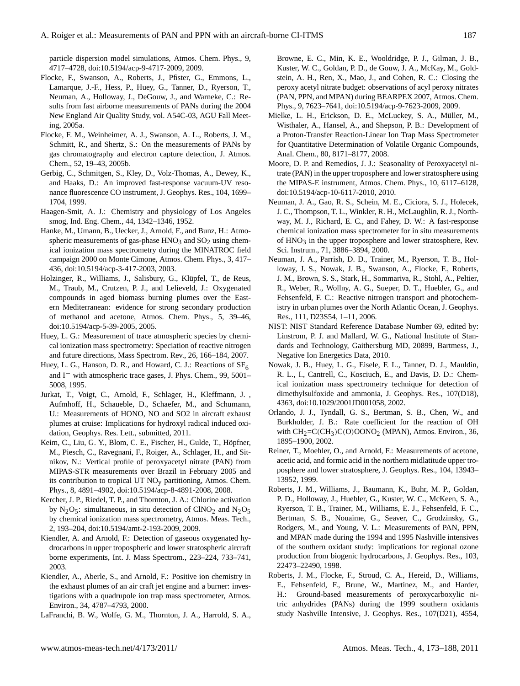particle dispersion model simulations, Atmos. Chem. Phys., 9, 4717–4728, doi:10.5194/acp-9-4717-2009, 2009.

- <span id="page-14-11"></span>Flocke, F., Swanson, A., Roberts, J., Pfister, G., Emmons, L., Lamarque, J.-F., Hess, P., Huey, G., Tanner, D., Ryerson, T., Neuman, A., Holloway, J., DeGouw, J., and Warneke, C.: Results from fast airborne measurements of PANs during the 2004 New England Air Quality Study, vol. A54C-03, AGU Fall Meeting, 2005a.
- <span id="page-14-3"></span>Flocke, F. M., Weinheimer, A. J., Swanson, A. L., Roberts, J. M., Schmitt, R., and Shertz, S.: On the measurements of PANs by gas chromatography and electron capture detection, J. Atmos. Chem., 52, 19–43, 2005b.
- <span id="page-14-19"></span>Gerbig, C., Schmitgen, S., Kley, D., Volz-Thomas, A., Dewey, K., and Haaks, D.: An improved fast-response vacuum-UV resonance fluorescence CO instrument, J. Geophys. Res., 104, 1699– 1704, 1999.
- <span id="page-14-0"></span>Haagen-Smit, A. J.: Chemistry and physiology of Los Angeles smog, Ind. Eng. Chem., 44, 1342–1346, 1952.
- <span id="page-14-7"></span>Hanke, M., Umann, B., Uecker, J., Arnold, F., and Bunz, H.: Atmospheric measurements of gas-phase  $HNO<sub>3</sub>$  and  $SO<sub>2</sub>$  using chemical ionization mass spectrometry during the MINATROC field campaign 2000 on Monte Cimone, Atmos. Chem. Phys., 3, 417– 436, doi:10.5194/acp-3-417-2003, 2003.
- <span id="page-14-10"></span>Holzinger, R., Williams, J., Salisbury, G., Klüpfel, T., de Reus, M., Traub, M., Crutzen, P. J., and Lelieveld, J.: Oxygenated compounds in aged biomass burning plumes over the Eastern Mediterranean: evidence for strong secondary production of methanol and acetone, Atmos. Chem. Phys., 5, 39–46, doi:10.5194/acp-5-39-2005, 2005.
- <span id="page-14-9"></span>Huey, L. G.: Measurement of trace atmospheric species by chemical ionization mass spectrometry: Speciation of reactive nitrogen and future directions, Mass Spectrom. Rev., 26, 166–184, 2007.
- <span id="page-14-15"></span>Huey, L. G., Hanson, D. R., and Howard, C. J.: Reactions of  $SF<sub>6</sub>^$ and I<sup>−</sup> with atmospheric trace gases, J. Phys. Chem., 99, 5001– 5008, 1995.
- <span id="page-14-13"></span>Jurkat, T., Voigt, C., Arnold, F., Schlager, H., Kleffmann, J. , Aufmhoff, H., Schaueble, D., Schaefer, M., and Schumann, U.: Measurements of HONO, NO and SO2 in aircraft exhaust plumes at cruise: Implications for hydroxyl radical induced oxidation, Geophys. Res. Lett., submitted, 2011.
- Keim, C., Liu, G. Y., Blom, C. E., Fischer, H., Gulde, T., Höpfner, M., Piesch, C., Ravegnani, F., Roiger, A., Schlager, H., and Sitnikov, N.: Vertical profile of peroxyacetyl nitrate (PAN) from MIPAS-STR measurements over Brazil in February 2005 and its contribution to tropical UT NOy partitioning, Atmos. Chem. Phys., 8, 4891–4902, doi:10.5194/acp-8-4891-2008, 2008.
- <span id="page-14-8"></span>Kercher, J. P., Riedel, T. P., and Thornton, J. A.: Chlorine activation by N<sub>2</sub>O<sub>5</sub>: simultaneous, in situ detection of ClNO<sub>2</sub> and N<sub>2</sub>O<sub>5</sub> by chemical ionization mass spectrometry, Atmos. Meas. Tech., 2, 193–204, doi:10.5194/amt-2-193-2009, 2009.
- <span id="page-14-14"></span>Kiendler, A. and Arnold, F.: Detection of gaseous oxygenated hydrocarbons in upper tropospheric and lower stratospheric aircraft borne experiments, Int. J. Mass Spectrom., 223–224, 733–741, 2003.
- <span id="page-14-4"></span>Kiendler, A., Aberle, S., and Arnold, F.: Positive ion chemistry in the exhaust plumes of an air craft jet engine and a burner: investigations with a quadrupole ion trap mass spectrometer, Atmos. Environ., 34, 4787–4793, 2000.
- <span id="page-14-1"></span>LaFranchi, B. W., Wolfe, G. M., Thornton, J. A., Harrold, S. A.,

Browne, E. C., Min, K. E., Wooldridge, P. J., Gilman, J. B., Kuster, W. C., Goldan, P. D., de Gouw, J. A., McKay, M., Goldstein, A. H., Ren, X., Mao, J., and Cohen, R. C.: Closing the peroxy acetyl nitrate budget: observations of acyl peroxy nitrates (PAN, PPN, and MPAN) during BEARPEX 2007, Atmos. Chem. Phys., 9, 7623–7641, doi:10.5194/acp-9-7623-2009, 2009.

- Mielke, L. H., Erickson, D. E., McLuckey, S. A., Müller, M., Wisthaler, A., Hansel, A., and Shepson, P. B.: Development of a Proton-Transfer Reaction-Linear Ion Trap Mass Spectrometer for Quantitative Determination of Volatile Organic Compounds, Anal. Chem., 80, 8171–8177, 2008.
- Moore, D. P. and Remedios, J. J.: Seasonality of Peroxyacetyl nitrate (PAN) in the upper troposphere and lower stratosphere using the MIPAS-E instrument, Atmos. Chem. Phys., 10, 6117–6128, doi:10.5194/acp-10-6117-2010, 2010.
- <span id="page-14-5"></span>Neuman, J. A., Gao, R. S., Schein, M. E., Ciciora, S. J., Holecek, J. C., Thompson, T. L., Winkler, R. H., McLaughlin, R. J., Northway, M. J., Richard, E. C., and Fahey, D. W.: A fast-response chemical ionization mass spectrometer for in situ measurements of  $HNO<sub>3</sub>$  in the upper troposphere and lower stratosphere, Rev. Sci. Instrum., 71, 3886–3894, 2000.
- <span id="page-14-12"></span>Neuman, J. A., Parrish, D. D., Trainer, M., Ryerson, T. B., Holloway, J. S., Nowak, J. B., Swanson, A., Flocke, F., Roberts, J. M., Brown, S. S., Stark, H., Sommariva, R., Stohl, A., Peltier, R., Weber, R., Wollny, A. G., Sueper, D. T., Huebler, G., and Fehsenfeld, F. C.: Reactive nitrogen transport and photochemistry in urban plumes over the North Atlantic Ocean, J. Geophys. Res., 111, D23S54, 1–11, 2006.
- <span id="page-14-17"></span>NIST: NIST Standard Reference Database Number 69, edited by: Linstrom, P. J. and Mallard, W. G., National Institute of Standards and Technology, Gaithersburg MD, 20899, Bartmess, J., Negative Ion Energetics Data, 2010.
- <span id="page-14-6"></span>Nowak, J. B., Huey, L. G., Eisele, F. L., Tanner, D. J., Mauldin, R. L., I., Cantrell, C., Kosciuch, E., and Davis, D. D.: Chemical ionization mass spectrometry technique for detection of dimethylsulfoxide and ammonia, J. Geophys. Res., 107(D18), 4363, doi:10.1029/2001JD001058, 2002.
- <span id="page-14-18"></span>Orlando, J. J., Tyndall, G. S., Bertman, S. B., Chen, W., and Burkholder, J. B.: Rate coefficient for the reaction of OH with  $CH<sub>2</sub>=C(CH<sub>3</sub>)C(O)OONO<sub>2</sub>$  (MPAN), Atmos. Environ., 36, 1895–1900, 2002.
- <span id="page-14-16"></span>Reiner, T., Moehler, O., and Arnold, F.: Measurements of acetone, acetic acid, and formic acid in the northern midlatitude upper troposphere and lower stratosphere, J. Geophys. Res., 104, 13943– 13952, 1999.
- <span id="page-14-20"></span>Roberts, J. M., Williams, J., Baumann, K., Buhr, M. P., Goldan, P. D., Holloway, J., Huebler, G., Kuster, W. C., McKeen, S. A., Ryerson, T. B., Trainer, M., Williams, E. J., Fehsenfeld, F. C., Bertman, S. B., Nouaime, G., Seaver, C., Grodzinsky, G., Rodgers, M., and Young, V. L.: Measurements of PAN, PPN, and MPAN made during the 1994 and 1995 Nashville intensives of the southern oxidant study: implications for regional ozone production from biogenic hydrocarbons, J. Geophys. Res., 103, 22473–22490, 1998.
- <span id="page-14-2"></span>Roberts, J. M., Flocke, F., Stroud, C. A., Hereid, D., Williams, E., Fehsenfeld, F., Brune, W., Martinez, M., and Harder, H.: Ground-based measurements of peroxycarboxylic nitric anhydrides (PANs) during the 1999 southern oxidants study Nashville Intensive, J. Geophys. Res., 107(D21), 4554,